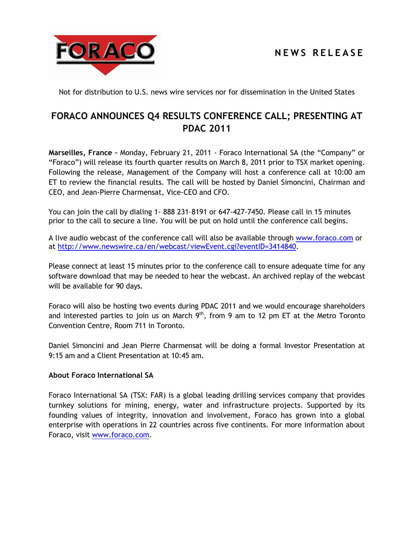## **N E W S R E L E A S E**



Not for distribution to U.S. news wire services nor for dissemination in the United States

## **FORACO ANNOUNCES Q4 RESULTS CONFERENCE CALL; PRESENTING AT PDAC 2011**

**Marseilles, France –** Monday, February 21, 2011 - Foraco International SA (the "Company" or "Foraco") will release its fourth quarter results on March 8, 2011 prior to TSX market opening. Following the release, Management of the Company will host a conference call at 10:00 am ET to review the financial results. The call will be hosted by Daniel Simoncini, Chairman and CEO, and Jean-Pierre Charmensat, Vice-CEO and CFO.

You can join the call by dialing 1- 888 231–8191 or 647-427-7450. Please call in 15 minutes prior to the call to secure a line. You will be put on hold until the conference call begins.

A live audio webcast of the conference call will also be available through [www.foraco.com](http://www.foraco.com/) or at [http://www.newswire.ca/en/webcast/viewEvent.cgi?eventID=3414840.](http://www.newswire.ca/en/webcast/viewEvent.cgi?eventID=3414840)

Please connect at least 15 minutes prior to the conference call to ensure adequate time for any software download that may be needed to hear the webcast. An archived replay of the webcast will be available for 90 days.

Foraco will also be hosting two events during PDAC 2011 and we would encourage shareholders and interested parties to join us on March  $9<sup>th</sup>$ , from 9 am to 12 pm ET at the Metro Toronto Convention Centre, Room 711 in Toronto.

Daniel Simoncini and Jean Pierre Charmensat will be doing a formal Investor Presentation at 9:15 am and a Client Presentation at 10:45 am.

## **About Foraco International SA**

Foraco International SA (TSX: FAR) is a global leading drilling services company that provides turnkey solutions for mining, energy, water and infrastructure projects. Supported by its founding values of integrity, innovation and involvement, Foraco has grown into a global enterprise with operations in 22 countries across five continents. For more information about Foraco, visit [www.foraco.com.](http://www.foraco.com/)